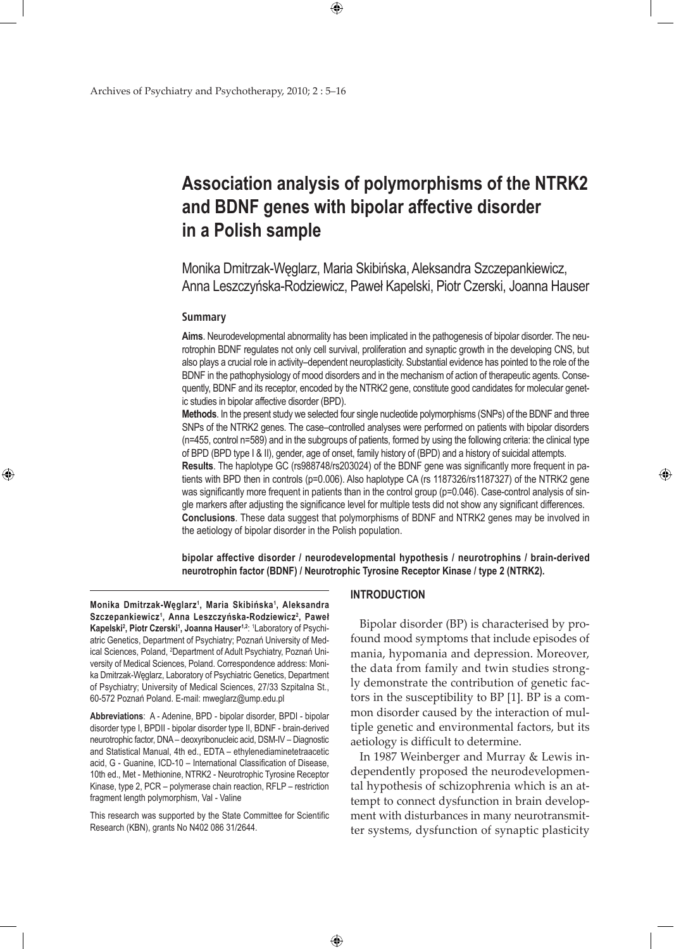# **Association analysis of polymorphisms of the NTRK2 and BDNF genes with bipolar affective disorder in a Polish sample**

 $\bigoplus$ 

Monika Dmitrzak-Węglarz, Maria Skibińska, Aleksandra Szczepankiewicz, Anna Leszczyńska-Rodziewicz, Paweł Kapelski, Piotr Czerski, Joanna Hauser

#### **Summary**

⊕

**Aims**. Neurodevelopmental abnormality has been implicated in the pathogenesis of bipolar disorder. The neurotrophin BDNF regulates not only cell survival, proliferation and synaptic growth in the developing CNS, but also plays a crucial role in activity–dependent neuroplasticity. Substantial evidence has pointed to the role of the BDNF in the pathophysiology of mood disorders and in the mechanism of action of therapeutic agents. Consequently, BDNF and its receptor, encoded by the NTRK2 gene, constitute good candidates for molecular genetic studies in bipolar affective disorder (BPD).

**Methods**. In the present study we selected four single nucleotide polymorphisms (SNPs) of the BDNF and three SNPs of the NTRK2 genes. The case–controlled analyses were performed on patients with bipolar disorders (n=455, control n=589) and in the subgroups of patients, formed by using the following criteria: the clinical type of BPD (BPD type I & II), gender, age of onset, family history of (BPD) and a history of suicidal attempts. **Results**. The haplotype GC (rs988748/rs203024) of the BDNF gene was significantly more frequent in patients with BPD then in controls (p=0.006). Also haplotype CA (rs 1187326/rs1187327) of the NTRK2 gene was significantly more frequent in patients than in the control group (p=0.046). Case-control analysis of single markers after adjusting the significance level for multiple tests did not show any significant differences. **Conclusions**. These data suggest that polymorphisms of BDNF and NTRK2 genes may be involved in the aetiology of bipolar disorder in the Polish population.

**bipolar affective disorder / neurodevelopmental hypothesis / neurotrophins / brain-derived neurotrophin factor (BDNF) / Neurotrophic Tyrosine Receptor Kinase / type 2 (NTRK2).**

**Monika Dmitrzak-Węglarz<sup>1</sup> , Maria Skibińska<sup>1</sup> , Aleksandra Szczepankiewicz1 , Anna Leszczyńska-Rodziewicz<sup>2</sup> , Paweł**  Kapelski<sup>2</sup>, Piotr Czerski<sup>1</sup>, Joanna Hauser<sup>1,2</sup>: <sup>1</sup>Laboratory of Psychiatric Genetics, Department of Psychiatry; Poznań University of Medical Sciences, Poland, <sup>2</sup>Department of Adult Psychiatry, Poznań University of Medical Sciences, Poland. Correspondence address: Monika Dmitrzak-Węglarz, Laboratory of Psychiatric Genetics, Department of Psychiatry; University of Medical Sciences, 27/33 Szpitalna St., 60-572 Poznań Poland. E-mail: mweglarz@ump.edu.pl

**Abbreviations**: A - Adenine, BPD - bipolar disorder, BPDI - bipolar disorder type I, BPDII - bipolar disorder type II, BDNF - brain-derived neurotrophic factor, DNA – deoxyribonucleic acid, DSM-IV – Diagnostic and Statistical Manual, 4th ed., EDTA – ethylenediaminetetraacetic acid, G - Guanine, ICD-10 – International Classification of Disease, 10th ed., Met - Methionine, NTRK2 - Neurotrophic Tyrosine Receptor Kinase, type 2, PCR – polymerase chain reaction, RFLP – restriction fragment length polymorphism, Val - Valine

This research was supported by the State Committee for Scientific Research (KBN), grants No N402 086 31/2644.

## **INTRODUCTION**

 $\bigoplus$ 

Bipolar disorder (BP) is characterised by profound mood symptoms that include episodes of mania, hypomania and depression. Moreover, the data from family and twin studies strongly demonstrate the contribution of genetic factors in the susceptibility to BP [1]. BP is a common disorder caused by the interaction of multiple genetic and environmental factors, but its aetiology is difficult to determine.

⊕

In 1987 Weinberger and Murray & Lewis independently proposed the neurodevelopmental hypothesis of schizophrenia which is an attempt to connect dysfunction in brain development with disturbances in many neurotransmitter systems, dysfunction of synaptic plasticity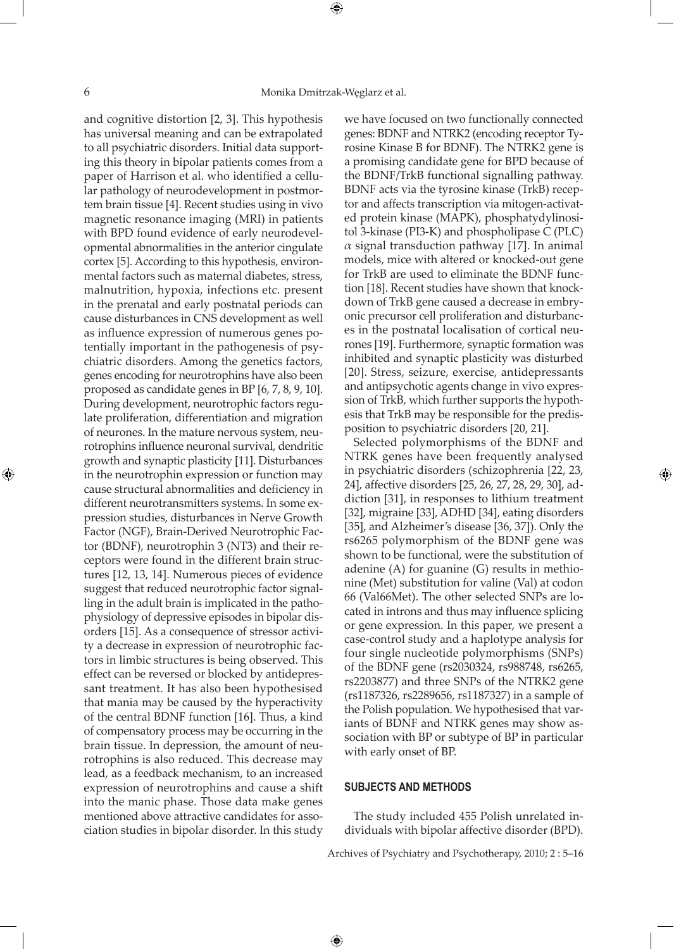⊕

⊕

and cognitive distortion [2, 3]. This hypothesis has universal meaning and can be extrapolated to all psychiatric disorders. Initial data supporting this theory in bipolar patients comes from a paper of Harrison et al. who identified a cellular pathology of neurodevelopment in postmortem brain tissue [4]. Recent studies using in vivo magnetic resonance imaging (MRI) in patients with BPD found evidence of early neurodevelopmental abnormalities in the anterior cingulate cortex [5]. According to this hypothesis, environmental factors such as maternal diabetes, stress, malnutrition, hypoxia, infections etc. present in the prenatal and early postnatal periods can cause disturbances in CNS development as well as influence expression of numerous genes potentially important in the pathogenesis of psychiatric disorders. Among the genetics factors, genes encoding for neurotrophins have also been proposed as candidate genes in BP [6, 7, 8, 9, 10]. During development, neurotrophic factors regulate proliferation, differentiation and migration of neurones. In the mature nervous system, neurotrophins influence neuronal survival, dendritic growth and synaptic plasticity [11]. Disturbances in the neurotrophin expression or function may cause structural abnormalities and deficiency in different neurotransmitters systems. In some expression studies, disturbances in Nerve Growth Factor (NGF), Brain-Derived Neurotrophic Factor (BDNF), neurotrophin 3 (NT3) and their receptors were found in the different brain structures [12, 13, 14]. Numerous pieces of evidence suggest that reduced neurotrophic factor signalling in the adult brain is implicated in the pathophysiology of depressive episodes in bipolar disorders [15]. As a consequence of stressor activity a decrease in expression of neurotrophic factors in limbic structures is being observed. This effect can be reversed or blocked by antidepressant treatment. It has also been hypothesised that mania may be caused by the hyperactivity of the central BDNF function [16]. Thus, a kind of compensatory process may be occurring in the brain tissue. In depression, the amount of neurotrophins is also reduced. This decrease may lead, as a feedback mechanism, to an increased expression of neurotrophins and cause a shift into the manic phase. Those data make genes mentioned above attractive candidates for association studies in bipolar disorder. In this study

we have focused on two functionally connected genes: BDNF and NTRK2 (encoding receptor Tyrosine Kinase B for BDNF). The NTRK2 gene is a promising candidate gene for BPD because of the BDNF/TrkB functional signalling pathway. BDNF acts via the tyrosine kinase (TrkB) receptor and affects transcription via mitogen-activated protein kinase (MAPK), phosphatydylinositol 3-kinase (PI3-K) and phospholipase C (PLC)  $\alpha$  signal transduction pathway [17]. In animal models, mice with altered or knocked-out gene for TrkB are used to eliminate the BDNF function [18]. Recent studies have shown that knockdown of TrkB gene caused a decrease in embryonic precursor cell proliferation and disturbances in the postnatal localisation of cortical neurones [19]. Furthermore, synaptic formation was inhibited and synaptic plasticity was disturbed [20]. Stress, seizure, exercise, antidepressants and antipsychotic agents change in vivo expression of TrkB, which further supports the hypothesis that TrkB may be responsible for the predisposition to psychiatric disorders [20, 21].

Selected polymorphisms of the BDNF and NTRK genes have been frequently analysed in psychiatric disorders (schizophrenia [22, 23, 24], affective disorders [25, 26, 27, 28, 29, 30], addiction [31], in responses to lithium treatment [32], migraine [33], ADHD [34], eating disorders [35], and Alzheimer's disease [36, 37]). Only the rs6265 polymorphism of the BDNF gene was shown to be functional, were the substitution of adenine (A) for guanine (G) results in methionine (Met) substitution for valine (Val) at codon 66 (Val66Met). The other selected SNPs are located in introns and thus may influence splicing or gene expression. In this paper, we present a case-control study and a haplotype analysis for four single nucleotide polymorphisms (SNPs) of the BDNF gene (rs2030324, rs988748, rs6265, rs2203877) and three SNPs of the NTRK2 gene (rs1187326, rs2289656, rs1187327) in a sample of the Polish population. We hypothesised that variants of BDNF and NTRK genes may show association with BP or subtype of BP in particular with early onset of BP.

⊕

#### **SUBJECTS AND METHODS**

 $\bigoplus$ 

The study included 455 Polish unrelated individuals with bipolar affective disorder (BPD).

Archives of Psychiatry and Psychotherapy, 2010; 2 : 5–16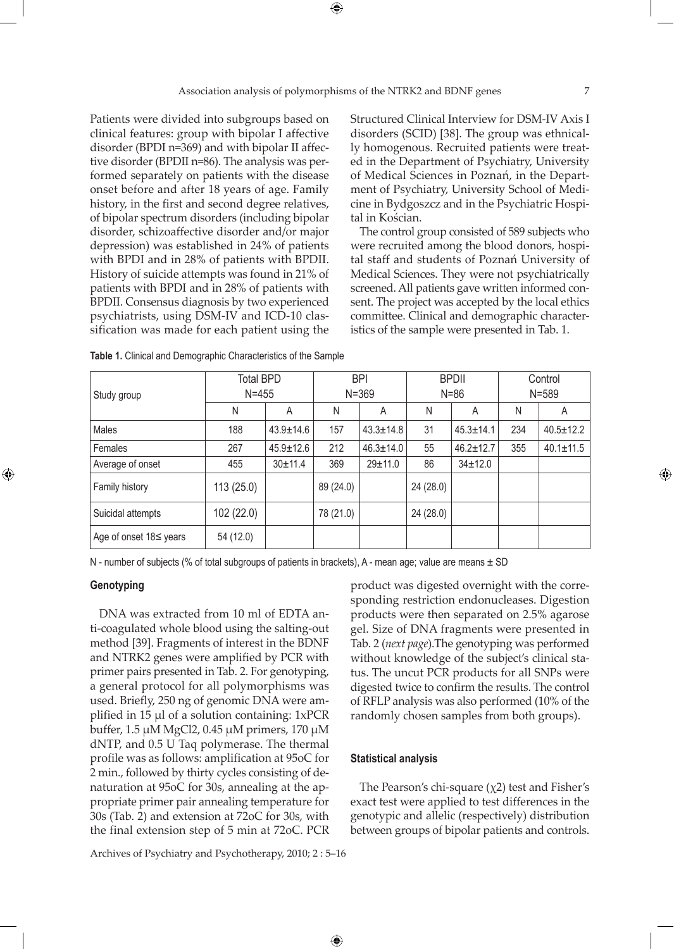⊕

⊕

Patients were divided into subgroups based on clinical features: group with bipolar I affective disorder (BPDI n=369) and with bipolar II affective disorder (BPDII n=86). The analysis was performed separately on patients with the disease onset before and after 18 years of age. Family history, in the first and second degree relatives, of bipolar spectrum disorders (including bipolar disorder, schizoaffective disorder and/or major depression) was established in 24% of patients with BPDI and in 28% of patients with BPDII. History of suicide attempts was found in 21% of patients with BPDI and in 28% of patients with BPDII. Consensus diagnosis by two experienced psychiatrists, using DSM-IV and ICD-10 classification was made for each patient using the Structured Clinical Interview for DSM-IV Axis I disorders (SCID) [38]. The group was ethnically homogenous. Recruited patients were treated in the Department of Psychiatry, University of Medical Sciences in Poznań, in the Department of Psychiatry, University School of Medicine in Bydgoszcz and in the Psychiatric Hospital in Kościan.

The control group consisted of 589 subjects who were recruited among the blood donors, hospital staff and students of Poznań University of Medical Sciences. They were not psychiatrically screened. All patients gave written informed consent. The project was accepted by the local ethics committee. Clinical and demographic characteristics of the sample were presented in Tab. 1.

| Study group            | <b>Total BPD</b><br>$N = 455$ |                 |           | <b>BPI</b><br>$N = 369$ |           | <b>BPDII</b><br>$N = 86$ |     | Control<br>$N = 589$ |
|------------------------|-------------------------------|-----------------|-----------|-------------------------|-----------|--------------------------|-----|----------------------|
|                        | N                             | A               | N         | A                       | N         | A                        | N   | A                    |
| Males                  | 188                           | $43.9 \pm 14.6$ | 157       | $43.3 \pm 14.8$         | 31        | $45.3 \pm 14.1$          | 234 | $40.5 \pm 12.2$      |
| Females                | 267                           | $45.9 \pm 12.6$ | 212       | $46.3 \pm 14.0$         | 55        | $46.2 \pm 12.7$          | 355 | $40.1 \pm 11.5$      |
| Average of onset       | 455                           | 30±11.4         | 369       | 29±11.0                 | 86        | $34 \pm 12.0$            |     |                      |
| Family history         | 113(25.0)                     |                 | 89 (24.0) |                         | 24 (28.0) |                          |     |                      |
| Suicidal attempts      | 102 (22.0)                    |                 | 78 (21.0) |                         | 24 (28.0) |                          |     |                      |
| Age of onset 18≤ years | 54 (12.0)                     |                 |           |                         |           |                          |     |                      |

| <b>Table 1.</b> Clinical and Demographic Characteristics of the Sample |  |
|------------------------------------------------------------------------|--|
|------------------------------------------------------------------------|--|

N - number of subjects (% of total subgroups of patients in brackets), A - mean age; value are means  $\pm$  SD

## **Genotyping**

⊕

DNA was extracted from 10 ml of EDTA anti-coagulated whole blood using the salting-out method [39]. Fragments of interest in the BDNF and NTRK2 genes were amplified by PCR with primer pairs presented in Tab. 2. For genotyping, a general protocol for all polymorphisms was used. Briefly, 250 ng of genomic DNA were amplified in 15 µl of a solution containing: 1xPCR buffer, 1.5 µM MgCl2, 0.45 µM primers, 170 µM dNTP, and 0.5 U Taq polymerase. The thermal profile was as follows: amplification at 95oC for 2 min., followed by thirty cycles consisting of denaturation at 95oC for 30s, annealing at the appropriate primer pair annealing temperature for 30s (Tab. 2) and extension at 72oC for 30s, with the final extension step of 5 min at 72oC. PCR

product was digested overnight with the corresponding restriction endonucleases. Digestion products were then separated on 2.5% agarose gel. Size of DNA fragments were presented in Tab. 2 (*next page*).The genotyping was performed without knowledge of the subject's clinical status. The uncut PCR products for all SNPs were digested twice to confirm the results. The control of RFLP analysis was also performed (10% of the randomly chosen samples from both groups).

#### **Statistical analysis**

 $\bigoplus$ 

The Pearson's chi-square  $(\chi^2)$  test and Fisher's exact test were applied to test differences in the genotypic and allelic (respectively) distribution between groups of bipolar patients and controls.

Archives of Psychiatry and Psychotherapy, 2010; 2 : 5–16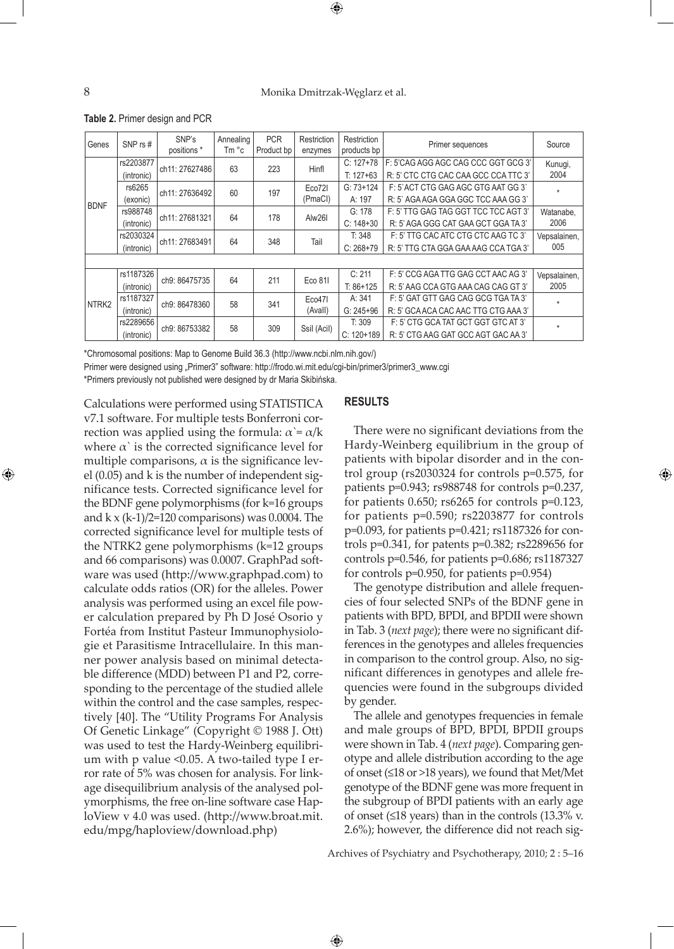### 8 Monika Dmitrzak-Węglarz et al.

⊕

**Table 2.** Primer design and PCR

| Genes             | SNP $rs \#$ | SNP's<br>positions <sup>*</sup> | Annealing<br>Tm °c | <b>PCR</b><br>Product bp | Restriction<br>enzymes | Restriction<br>products bp | Primer sequences                     | Source       |
|-------------------|-------------|---------------------------------|--------------------|--------------------------|------------------------|----------------------------|--------------------------------------|--------------|
|                   | rs2203877   | ch11: 27627486                  | 63                 | 223                      | Hinfl                  | $C: 127+78$                | F: 5'CAG AGG AGC CAG CCC GGT GCG 3'  | Kunugi,      |
|                   | (intronic)  |                                 |                    |                          |                        | $T: 127+63$                | R: 5' CTC CTG CAC CAA GCC CCA TTC 3' | 2004         |
|                   | rs6265      |                                 | 60                 | 197                      | Eco72I                 | $G: 73+124$                | F: 5`ACT CTG GAG AGC GTG AAT GG 3`   | $\ddot{}$    |
| <b>BDNF</b>       | (exonic)    | ch11: 27636492                  |                    |                          | (PmaCI)                | A: 197                     | R: 5' AGA AGA GGA GGC TCC AAA GG 3'  |              |
|                   | rs988748    | ch11: 27681321                  | 64                 | 178                      | Alw26I                 | G: 178                     | F: 5' TTG GAG TAG GGT TCC TCC AGT 3' | Watanabe.    |
|                   | (intronic)  |                                 |                    |                          |                        | $C: 148+30$                | R: 5' AGA GGG CAT GAA GCT GGA TA 3'  | 2006         |
|                   | rs2030324   | ch11: 27683491                  | 64                 | 348                      | Tail                   | T: 348                     | F: 5' TTG CAC ATC CTG CTC AAG TC 3'  | Vepsalainen, |
|                   | (intronic)  |                                 |                    |                          |                        | $C: 268+79$                | R: 5' TTG CTA GGA GAA AAG CCA TGA 3' | 005          |
|                   |             |                                 |                    |                          |                        |                            |                                      |              |
|                   | rs1187326   | ch9: 86475735                   | 64                 | 211                      | Eco 811                | C: 211                     | F: 5' CCG AGA TTG GAG CCT AAC AG 3'  | Vepsalainen, |
|                   | (intronic)  |                                 |                    |                          |                        | $T: 86+125$                | R: 5' AAG CCA GTG AAA CAG CAG GT 3'  | 2005         |
| NTRK <sub>2</sub> | rs1187327   | ch9: 86478360                   | 58                 | 341                      | Eco47I                 | A: 341                     | F: 5' GAT GTT GAG CAG GCG TGA TA 3'  | $\star$      |
|                   | (intronic)  |                                 |                    |                          | (Avall)                | $G: 245 + 96$              | R: 5' GCA ACA CAC AAC TTG CTG AAA 3' |              |
|                   | rs2289656   | ch9: 86753382                   | 58                 | 309                      |                        | T: 309                     | F: 5' CTG GCA TAT GCT GGT GTC AT 3'  | $\star$      |
|                   | (intronic)  |                                 |                    |                          | Ssil (Acil)            | $C: 120+189$               | R: 5' CTG AAG GAT GCC AGT GAC AA 3'  |              |

\*Chromosomal positions: Map to Genome Build 36.3 (http://www.ncbi.nlm.nih.gov/)

Primer were designed using "Primer3" software: http://frodo.wi.mit.edu/cgi-bin/primer3/primer3\_www.cgi

\*Primers previously not published were designed by dr Maria Skibińska.

Calculations were performed using STATISTICA v7.1 software. For multiple tests Bonferroni correction was applied using the formula:  $\alpha = \alpha/k$ where  $\alpha$ ' is the corrected significance level for multiple comparisons,  $\alpha$  is the significance level (0.05) and k is the number of independent significance tests. Corrected significance level for the BDNF gene polymorphisms (for k=16 groups and  $k \times (k-1)/2 = 120$  comparisons) was 0.0004. The corrected significance level for multiple tests of the NTRK2 gene polymorphisms (k=12 groups and 66 comparisons) was 0.0007. GraphPad software was used (http://www.graphpad.com) to calculate odds ratios (OR) for the alleles. Power analysis was performed using an excel file power calculation prepared by Ph D José Osorio y Fortéa from Institut Pasteur Immunophysiologie et Parasitisme Intracellulaire. In this manner power analysis based on minimal detectable difference (MDD) between P1 and P2, corresponding to the percentage of the studied allele within the control and the case samples, respectively [40]. The "Utility Programs For Analysis Of Genetic Linkage" (Copyright © 1988 J. Ott) was used to test the Hardy-Weinberg equilibrium with p value <0.05. A two-tailed type I error rate of 5% was chosen for analysis. For linkage disequilibrium analysis of the analysed polymorphisms, the free on-line software case HaploView v 4.0 was used. (http://www.broat.mit. edu/mpg/haploview/download.php)

# **RESULTS**

There were no significant deviations from the Hardy-Weinberg equilibrium in the group of patients with bipolar disorder and in the control group (rs2030324 for controls p=0.575, for patients p=0.943; rs988748 for controls p=0.237, for patients  $0.650$ ; rs $6265$  for controls p= $0.123$ , for patients p=0.590; rs2203877 for controls p=0.093, for patients p=0.421; rs1187326 for controls p=0.341, for patents p=0.382; rs2289656 for controls p=0.546, for patients p=0.686; rs1187327 for controls p=0.950, for patients p=0.954)

The genotype distribution and allele frequencies of four selected SNPs of the BDNF gene in patients with BPD, BPDI, and BPDII were shown in Tab. 3 (*next page*); there were no significant differences in the genotypes and alleles frequencies in comparison to the control group. Also, no significant differences in genotypes and allele frequencies were found in the subgroups divided by gender.

The allele and genotypes frequencies in female and male groups of BPD, BPDI, BPDII groups were shown in Tab. 4 (*next page*). Comparing genotype and allele distribution according to the age of onset (≤18 or >18 years), we found that Met/Met genotype of the BDNF gene was more frequent in the subgroup of BPDI patients with an early age of onset ( $\leq$ 18 years) than in the controls (13.3% v. 2.6%); however, the difference did not reach sig-

Archives of Psychiatry and Psychotherapy, 2010; 2 : 5–16

 $\bigoplus$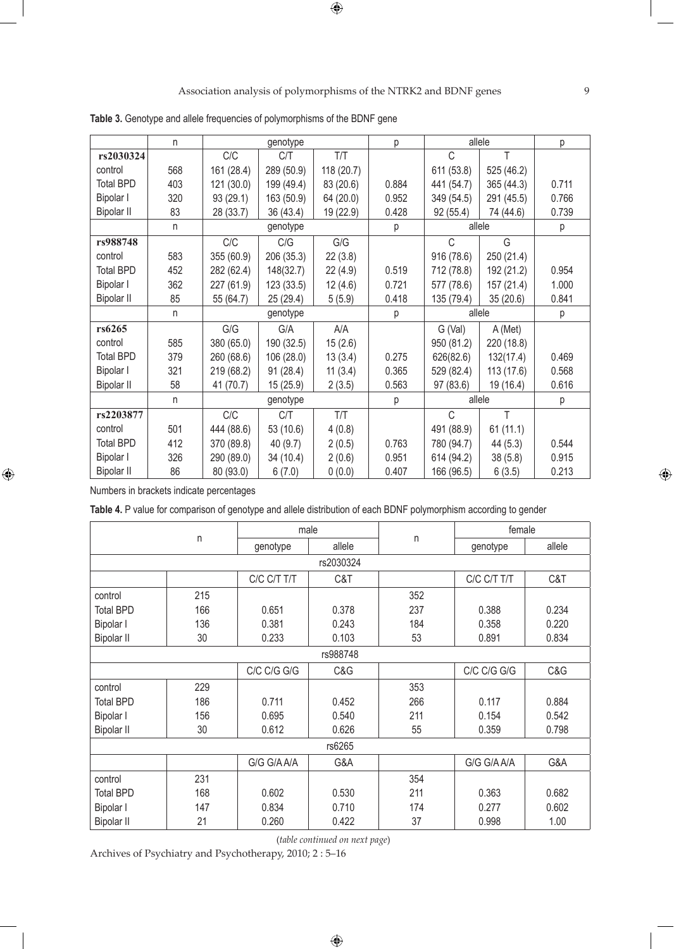|                   | n   |            | genotype   |            | р     |             | allele     | р     |
|-------------------|-----|------------|------------|------------|-------|-------------|------------|-------|
| rs2030324         |     | C/C        | C/T        | T/T        |       | $\mathsf C$ | T          |       |
| control           | 568 | 161 (28.4) | 289 (50.9) | 118 (20.7) |       | 611 (53.8)  | 525 (46.2) |       |
| <b>Total BPD</b>  | 403 | 121 (30.0) | 199 (49.4) | 83 (20.6)  | 0.884 | 441 (54.7)  | 365 (44.3) | 0.711 |
| Bipolar I         | 320 | 93 (29.1)  | 163 (50.9) | 64 (20.0)  | 0.952 | 349 (54.5)  | 291 (45.5) | 0.766 |
| <b>Bipolar II</b> | 83  | 28 (33.7)  | 36 (43.4)  | 19 (22.9)  | 0.428 | 92(55.4)    | 74 (44.6)  | 0.739 |
|                   | n   |            | genotype   |            | р     |             | allele     | р     |
| rs988748          |     | C/C        | C/G        | G/G        |       | C           | G          |       |
| control           | 583 | 355 (60.9) | 206 (35.3) | 22(3.8)    |       | 916 (78.6)  | 250 (21.4) |       |
| <b>Total BPD</b>  | 452 | 282 (62.4) | 148(32.7)  | 22(4.9)    | 0.519 | 712 (78.8)  | 192 (21.2) | 0.954 |
| Bipolar I         | 362 | 227 (61.9) | 123(33.5)  | 12(4.6)    | 0.721 | 577 (78.6)  | 157 (21.4) | 1.000 |
| <b>Bipolar II</b> | 85  | 55 (64.7)  | 25 (29.4)  | 5(5.9)     | 0.418 | 135 (79.4)  | 35 (20.6)  | 0.841 |
|                   | n   |            | genotype   |            | р     |             | allele     | р     |
| rs6265            |     | G/G        | G/A        | A/A        |       | G (Val)     | A (Met)    |       |
| control           | 585 | 380 (65.0) | 190 (32.5) | 15(2.6)    |       | 950 (81.2)  | 220 (18.8) |       |
| <b>Total BPD</b>  | 379 | 260 (68.6) | 106 (28.0) | 13(3.4)    | 0.275 | 626(82.6)   | 132(17.4)  | 0.469 |
| Bipolar I         | 321 | 219 (68.2) | 91(28.4)   | 11(3.4)    | 0.365 | 529 (82.4)  | 113(17.6)  | 0.568 |
| <b>Bipolar II</b> | 58  | 41 (70.7)  | 15(25.9)   | 2(3.5)     | 0.563 | 97 (83.6)   | 19 (16.4)  | 0.616 |
|                   |     |            |            |            |       |             |            |       |
|                   | n   |            | genotype   |            | р     |             | allele     | р     |
| rs2203877         |     | C/C        | C/T        | T/T        |       | C           | T          |       |
| control           | 501 | 444 (88.6) | 53 (10.6)  | 4(0.8)     |       | 491 (88.9)  | 61(11.1)   |       |
| <b>Total BPD</b>  | 412 | 370 (89.8) | 40(9.7)    | 2(0.5)     | 0.763 | 780 (94.7)  | 44(5.3)    | 0.544 |
| Bipolar I         | 326 | 290 (89.0) | 34 (10.4)  | 2(0.6)     | 0.951 | 614 (94.2)  | 38(5.8)    | 0.915 |

**Table 3.** Genotype and allele frequencies of polymorphisms of the BDNF gene

Numbers in brackets indicate percentages

 $\bigoplus$ 

**Table 4.** P value for comparison of genotype and allele distribution of each BDNF polymorphism according to gender

|                   |     |             | male      |              | female      |        |
|-------------------|-----|-------------|-----------|--------------|-------------|--------|
|                   | n   | genotype    | allele    | $\mathsf{n}$ | genotype    | allele |
|                   |     |             | rs2030324 |              |             |        |
|                   |     | C/C C/T T/T | C&T       |              | C/C C/T T/T | C&T    |
| control           | 215 |             |           | 352          |             |        |
| <b>Total BPD</b>  | 166 | 0.651       | 0.378     | 237          | 0.388       | 0.234  |
| Bipolar I         | 136 | 0.381       | 0.243     | 184          | 0.358       | 0.220  |
| <b>Bipolar II</b> | 30  | 0.233       | 0.103     | 53           | 0.891       | 0.834  |
|                   |     |             | rs988748  |              |             |        |
|                   |     | C/C C/G G/G | C&G       |              | C/C C/G G/G | C&G    |
| control           | 229 |             |           | 353          |             |        |
| <b>Total BPD</b>  | 186 | 0.711       | 0.452     | 266          | 0.117       | 0.884  |
| Bipolar I         | 156 | 0.695       | 0.540     | 211          | 0.154       | 0.542  |
| <b>Bipolar II</b> | 30  | 0.612       | 0.626     | 55           | 0.359       | 0.798  |
|                   |     |             | rs6265    |              |             |        |
|                   |     | G/G G/A A/A | G&A       |              | G/G G/A A/A | G&A    |
| control           | 231 |             |           | 354          |             |        |
| <b>Total BPD</b>  | 168 | 0.602       | 0.530     | 211          | 0.363       | 0.682  |
| Bipolar I         | 147 | 0.834       | 0.710     | 174          | 0.277       | 0.602  |
| <b>Bipolar II</b> | 21  | 0.260       | 0.422     | 37           | 0.998       | 1.00   |

(*table continued on next page*)

Archives of Psychiatry and Psychotherapy, 2010; 2 : 5–16

 $\bigoplus$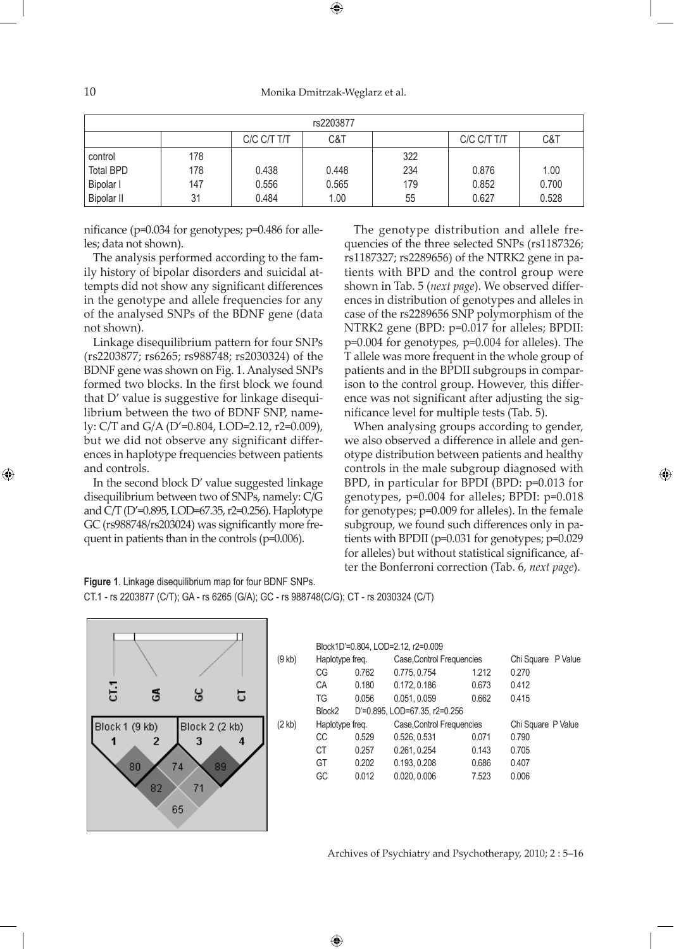10 Monika Dmitrzak-Węglarz et al.

| rs2203877         |     |             |       |     |             |       |  |  |  |
|-------------------|-----|-------------|-------|-----|-------------|-------|--|--|--|
|                   |     | C/C C/T T/T | C&T   |     | C/C C/T T/T | C&T   |  |  |  |
| control           | 178 |             |       | 322 |             |       |  |  |  |
| <b>Total BPD</b>  | 178 | 0.438       | 0.448 | 234 | 0.876       | 1.00  |  |  |  |
| <b>Bipolar I</b>  | 147 | 0.556       | 0.565 | 179 | 0.852       | 0.700 |  |  |  |
| <b>Bipolar II</b> | 31  | 0.484       | 1.00  | 55  | 0.627       | 0.528 |  |  |  |

nificance (p=0.034 for genotypes; p=0.486 for alleles; data not shown).

The analysis performed according to the family history of bipolar disorders and suicidal attempts did not show any significant differences in the genotype and allele frequencies for any of the analysed SNPs of the BDNF gene (data not shown).

Linkage disequilibrium pattern for four SNPs (rs2203877; rs6265; rs988748; rs2030324) of the BDNF gene was shown on Fig. 1. Analysed SNPs formed two blocks. In the first block we found that D' value is suggestive for linkage disequilibrium between the two of BDNF SNP, namely: C/T and G/A (D'=0.804, LOD=2.12, r2=0.009), but we did not observe any significant differences in haplotype frequencies between patients and controls.

In the second block D' value suggested linkage disequilibrium between two of SNPs, namely: C/G and C/T (D'=0.895, LOD=67.35, r2=0.256). Haplotype GC (rs988748/rs203024) was significantly more frequent in patients than in the controls (p=0.006).

The genotype distribution and allele frequencies of the three selected SNPs (rs1187326; rs1187327; rs2289656) of the NTRK2 gene in patients with BPD and the control group were shown in Tab. 5 (*next page*). We observed differences in distribution of genotypes and alleles in case of the rs2289656 SNP polymorphism of the NTRK2 gene (BPD: p=0.017 for alleles; BPDII: p=0.004 for genotypes, p=0.004 for alleles). The T allele was more frequent in the whole group of patients and in the BPDII subgroups in comparison to the control group. However, this difference was not significant after adjusting the significance level for multiple tests (Tab. 5).

When analysing groups according to gender, we also observed a difference in allele and genotype distribution between patients and healthy controls in the male subgroup diagnosed with BPD, in particular for BPDI (BPD: p=0.013 for genotypes, p=0.004 for alleles; BPDI: p=0.018 for genotypes; p=0.009 for alleles). In the female subgroup, we found such differences only in patients with BPDII (p=0.031 for genotypes; p=0.029 for alleles) but without statistical significance, after the Bonferroni correction (Tab. 6, *next page*).

⊕



|                  |                    |       | Block1D'=0.804, LOD=2.12, r2=0.009 |       |                    |  |
|------------------|--------------------|-------|------------------------------------|-------|--------------------|--|
| $(9$ kb)         | Haplotype freq.    |       | Case, Control Frequencies          |       | Chi Square P Value |  |
|                  | CG                 | 0.762 | 0.775, 0.754                       | 1.212 | 0.270              |  |
|                  | CA                 | 0.180 | 0.172, 0.186                       | 0.673 | 0.412              |  |
|                  | TG                 | 0.056 | 0.051, 0.059                       | 0.662 | 0.415              |  |
|                  | Block <sub>2</sub> |       | D'=0.895, LOD=67.35, r2=0.256      |       |                    |  |
| $(2 \text{ kb})$ | Haplotype freq.    |       | Case, Control Frequencies          |       | Chi Square P Value |  |
|                  | СC                 | 0.529 | 0.526, 0.531                       | 0.071 | 0.790              |  |
|                  | СT                 | 0.257 | 0.261, 0.254                       | 0.143 | 0.705              |  |
|                  | GT                 | 0.202 | 0.193, 0.208                       | 0.686 | 0.407              |  |

GC 0.012 0.020, 0.006 7.523 0.006

 $\bigoplus$ 

Archives of Psychiatry and Psychotherapy, 2010; 2 : 5–16

| Figure 1. Linkage disequilibrium map for four BDNF SNPs.                                |  |
|-----------------------------------------------------------------------------------------|--|
| CT.1 - rs 2203877 (C/T); GA - rs 6265 (G/A); GC - rs 988748(C/G); CT - rs 2030324 (C/T) |  |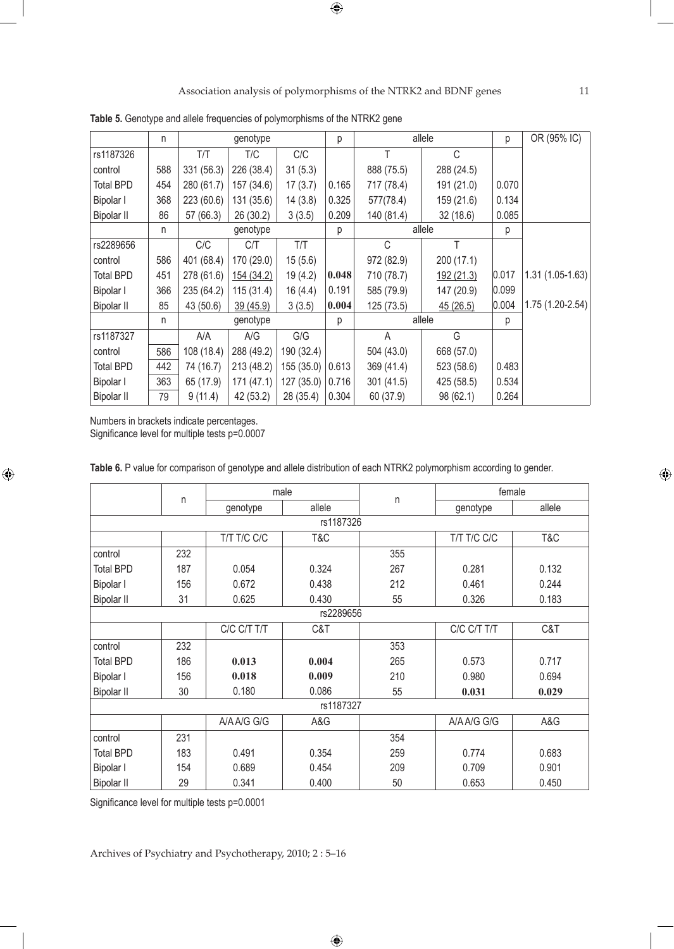|                   | n   |            | genotype   |            | р     |            | allele     | р     | OR (95% IC)       |
|-------------------|-----|------------|------------|------------|-------|------------|------------|-------|-------------------|
| rs1187326         |     | T/T        | T/C        | C/C        |       | Τ          | C          |       |                   |
| control           | 588 | 331 (56.3) | 226 (38.4) | 31(5.3)    |       | 888 (75.5) | 288 (24.5) |       |                   |
| <b>Total BPD</b>  | 454 | 280 (61.7) | 157 (34.6) | 17(3.7)    | 0.165 | 717 (78.4) | 191 (21.0) | 0.070 |                   |
| Bipolar I         | 368 | 223 (60.6) | 131 (35.6) | 14(3.8)    | 0.325 | 577(78.4)  | 159 (21.6) | 0.134 |                   |
| <b>Bipolar II</b> | 86  | 57 (66.3)  | 26 (30.2)  | 3(3.5)     | 0.209 | 140 (81.4) | 32(18.6)   | 0.085 |                   |
|                   | n.  |            | genotype   |            | р     |            | allele     | р     |                   |
| rs2289656         |     | C/C        | C/T        | T/T        |       | C          | T          |       |                   |
| control           | 586 | 401 (68.4) | 170 (29.0) | 15(5.6)    |       | 972 (82.9) | 200 (17.1) |       |                   |
| <b>Total BPD</b>  | 451 | 278 (61.6) | 154 (34.2) | 19(4.2)    | 0.048 | 710 (78.7) | 192 (21.3) | 0.017 | $1.31(1.05-1.63)$ |
| Bipolar I         | 366 | 235 (64.2) | 115(31.4)  | 16(4.4)    | 0.191 | 585 (79.9) | 147 (20.9) | 0.099 |                   |
| <b>Bipolar II</b> | 85  | 43 (50.6)  | 39 (45.9)  | 3(3.5)     | 0.004 | 125 (73.5) | 45(26.5)   | 0.004 | $1.75(1.20-2.54)$ |
|                   | n.  |            | genotype   |            | р     |            | allele     | р     |                   |
| rs1187327         |     | A/A        | A/G        | G/G        |       | A          | G          |       |                   |
| control           | 586 | 108 (18.4) | 288 (49.2) | 190 (32.4) |       | 504 (43.0) | 668 (57.0) |       |                   |
| <b>Total BPD</b>  | 442 | 74 (16.7)  | 213 (48.2) | 155 (35.0) | 0.613 | 369 (41.4) | 523 (58.6) | 0.483 |                   |
| Bipolar I         | 363 | 65 (17.9)  | 171(47.1)  | 127(35.0)  | 0.716 | 301(41.5)  | 425 (58.5) | 0.534 |                   |
| <b>Bipolar II</b> | 79  | 9(11.4)    | 42 (53.2)  | 28 (35.4)  | 0.304 | 60 (37.9)  | 98 (62.1)  | 0.264 |                   |

**Table 5.** Genotype and allele frequencies of polymorphisms of the NTRK2 gene

| Bipolar I                                 | 363 | 65 (17.9) | 171(47.1)                                                                                                                                                             | 127 (35.0) | 0.716     | 301 (41.5) | 425 (58.5)  | 0.534  |        |
|-------------------------------------------|-----|-----------|-----------------------------------------------------------------------------------------------------------------------------------------------------------------------|------------|-----------|------------|-------------|--------|--------|
| <b>Bipolar II</b>                         | 79  | 9(11.4)   | 42 (53.2)                                                                                                                                                             | 28 (35.4)  | 0.304     | 60 (37.9)  | 98 (62.1)   | 0.264  |        |
| Numbers in brackets indicate percentages. |     |           | Significance level for multiple tests p=0.0007<br>Table 6. P value for comparison of genotype and allele distribution of each NTRK2 polymorphism according to gender. |            |           |            |             |        |        |
|                                           |     |           |                                                                                                                                                                       | male       |           |            |             | female |        |
|                                           |     | n         | genotype                                                                                                                                                              | allele     |           | $\sf n$    | genotype    |        | allele |
|                                           |     |           |                                                                                                                                                                       |            | rs1187326 |            |             |        |        |
|                                           |     |           | T/T T/C C/C                                                                                                                                                           | T&C        |           |            | T/T T/C C/C |        | T&C    |
| control                                   |     | 232       |                                                                                                                                                                       |            |           | 355        |             |        |        |
| <b>Total BPD</b>                          |     | 187       | 0.054                                                                                                                                                                 | 0.324      |           | 267        | 0.281       |        | 0.132  |
| Bipolar I                                 |     | 156       | 0.672                                                                                                                                                                 | 0.438      |           | 212        | 0.461       |        | 0.244  |
| <b>Bipolar II</b>                         |     | 31        | 0.625                                                                                                                                                                 | 0.430      |           | 55         | 0.326       |        | 0.183  |
|                                           |     |           |                                                                                                                                                                       |            | rs2289656 |            |             |        |        |
|                                           |     |           | C/C C/T T/T                                                                                                                                                           | C&T        |           |            | C/C C/T T/T |        | C&T    |
| control                                   |     | 232       |                                                                                                                                                                       |            |           | 353        |             |        |        |
| <b>Total BPD</b>                          |     | 186       | 0.013                                                                                                                                                                 | 0.004      |           | 265        | 0.573       |        | 0.717  |
| Bipolar I                                 |     | 156       | 0.018                                                                                                                                                                 | 0.009      |           | 210        | 0.980       |        | 0.694  |
| <b>Bipolar II</b>                         |     | 30        | 0.180                                                                                                                                                                 | 0.086      |           | 55         | 0.031       |        | 0.029  |
|                                           |     |           |                                                                                                                                                                       |            | rs1187327 |            |             |        |        |
|                                           |     |           | A/A A/G G/G                                                                                                                                                           | A&G        |           |            | A/A A/G G/G |        | A&G    |
| control                                   |     | 231       |                                                                                                                                                                       |            |           | 354        |             |        |        |
| <b>Total BPD</b>                          |     | 183       | 0.491                                                                                                                                                                 | 0.354      |           | 259        | 0.774       |        | 0.683  |
| Bipolar I                                 |     | 154       | 0.689                                                                                                                                                                 | 0.454      |           | 209        | 0.709       |        | 0.901  |

0.400

 $\bigoplus$ 

50

0.653

0.450

Significance level for multiple tests p=0.0001

29

Bipolar II

 $\bigoplus$ 

Archives of Psychiatry and Psychotherapy, 2010; 2 : 5–16

0.341

 $\bigoplus$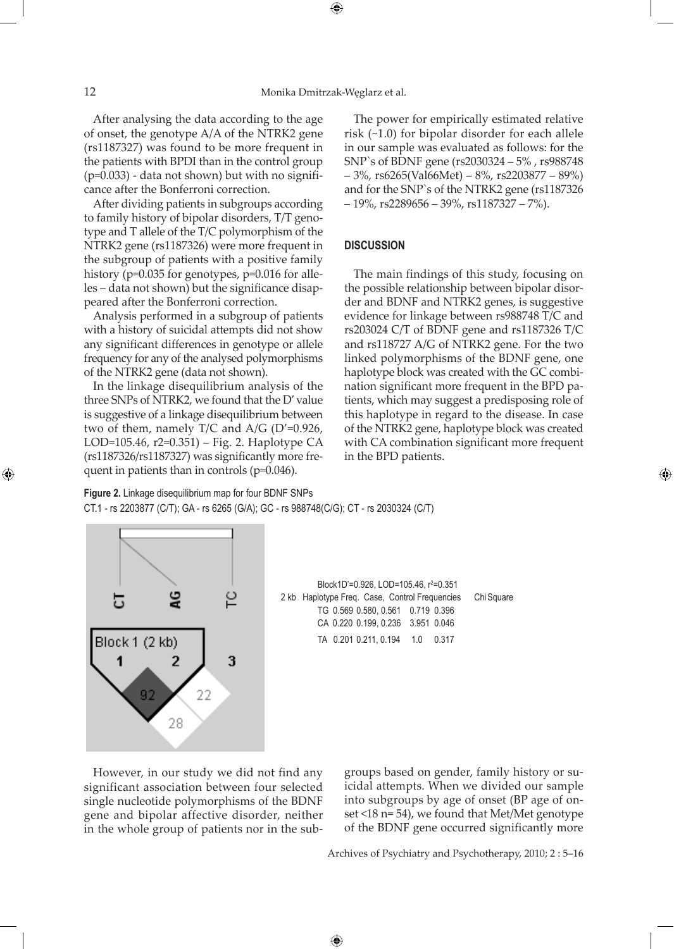After analysing the data according to the age of onset, the genotype A/A of the NTRK2 gene (rs1187327) was found to be more frequent in the patients with BPDI than in the control group  $(p=0.033)$  - data not shown) but with no signifi-

cance after the Bonferroni correction. After dividing patients in subgroups according to family history of bipolar disorders, T/T genotype and T allele of the T/C polymorphism of the NTRK2 gene (rs1187326) were more frequent in the subgroup of patients with a positive family history (p=0.035 for genotypes, p=0.016 for alleles – data not shown) but the significance disappeared after the Bonferroni correction.

Analysis performed in a subgroup of patients with a history of suicidal attempts did not show any significant differences in genotype or allele frequency for any of the analysed polymorphisms of the NTRK2 gene (data not shown).

In the linkage disequilibrium analysis of the three SNPs of NTRK2, we found that the D' value is suggestive of a linkage disequilibrium between two of them, namely T/C and  $A/G$  (D'=0.926, LOD=105.46, r2=0.351) – Fig. 2. Haplotype CA (rs1187326/rs1187327) was significantly more frequent in patients than in controls (p=0.046).

The power for empirically estimated relative risk (~1.0) for bipolar disorder for each allele in our sample was evaluated as follows: for the SNP`s of BDNF gene (rs2030324 – 5% , rs988748 – 3%, rs6265(Val66Met) – 8%, rs2203877 – 89%) and for the SNP`s of the NTRK2 gene (rs1187326  $-19\%$ , rs2289656 – 39%, rs1187327 – 7%).

#### **DISCUSSION**

The main findings of this study, focusing on the possible relationship between bipolar disorder and BDNF and NTRK2 genes, is suggestive evidence for linkage between rs988748 T/C and rs203024 C/T of BDNF gene and rs1187326 T/C and rs118727 A/G of NTRK2 gene. For the two linked polymorphisms of the BDNF gene, one haplotype block was created with the GC combination significant more frequent in the BPD patients, which may suggest a predisposing role of this haplotype in regard to the disease. In case of the NTRK2 gene, haplotype block was created with CA combination significant more frequent in the BPD patients.

⊕

**Figure 2.** Linkage disequilibrium map for four BDNF SNPs CT.1 - rs 2203877 (C/T); GA - rs 6265 (G/A); GC - rs 988748(C/G); CT - rs 2030324 (C/T)



Block1D'=0.926, LOD=105.46, r<sup>2</sup>=0.351 2 kb Haplotype Freq. Case, Control Frequencies ChiSquare TG 0.569 0.580, 0.561 0.719 0.396 CA 0.220 0.199, 0.236 3.951 0.046 TA 0.201 0.211, 0.194 1.0 0.317

 $\bigoplus$ 

However, in our study we did not find any significant association between four selected single nucleotide polymorphisms of the BDNF gene and bipolar affective disorder, neither in the whole group of patients nor in the subgroups based on gender, family history or suicidal attempts. When we divided our sample into subgroups by age of onset (BP age of onset <18 n= 54), we found that Met/Met genotype of the BDNF gene occurred significantly more

Archives of Psychiatry and Psychotherapy, 2010; 2 : 5–16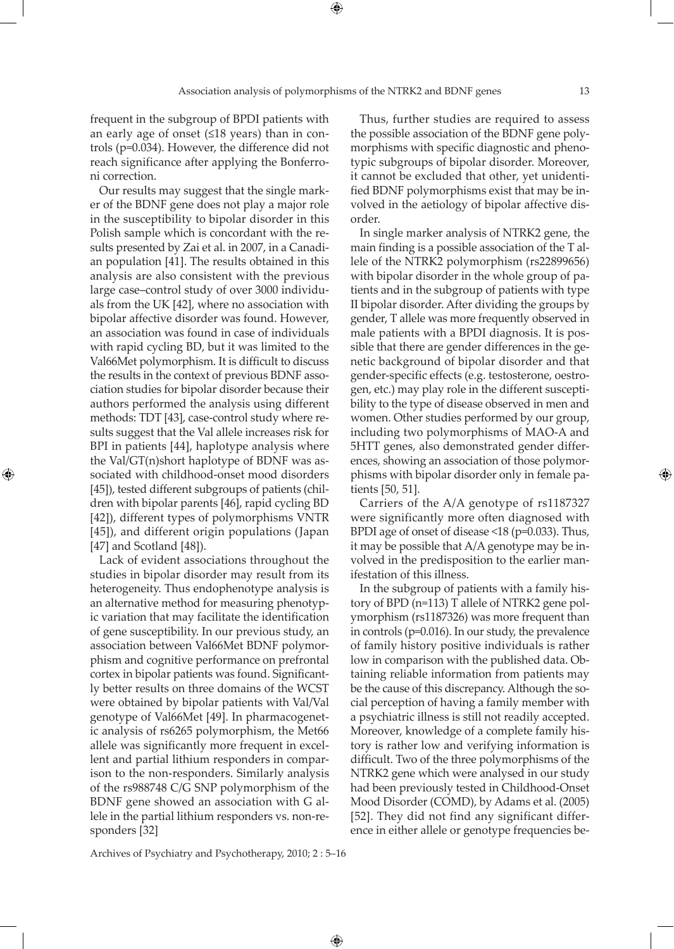frequent in the subgroup of BPDI patients with an early age of onset (≤18 years) than in controls (p=0.034). However, the difference did not reach significance after applying the Bonferroni correction.

Our results may suggest that the single marker of the BDNF gene does not play a major role in the susceptibility to bipolar disorder in this Polish sample which is concordant with the results presented by Zai et al. in 2007, in a Canadian population [41]. The results obtained in this analysis are also consistent with the previous large case–control study of over 3000 individuals from the UK [42], where no association with bipolar affective disorder was found. However, an association was found in case of individuals with rapid cycling BD, but it was limited to the Val66Met polymorphism. It is difficult to discuss the results in the context of previous BDNF association studies for bipolar disorder because their authors performed the analysis using different methods: TDT [43], case-control study where results suggest that the Val allele increases risk for BPI in patients [44], haplotype analysis where the Val/GT(n)short haplotype of BDNF was associated with childhood-onset mood disorders [45]), tested different subgroups of patients (children with bipolar parents [46], rapid cycling BD [42]), different types of polymorphisms VNTR [45]), and different origin populations (Japan [47] and Scotland [48]).

⊕

Lack of evident associations throughout the studies in bipolar disorder may result from its heterogeneity. Thus endophenotype analysis is an alternative method for measuring phenotypic variation that may facilitate the identification of gene susceptibility. In our previous study, an association between Val66Met BDNF polymorphism and cognitive performance on prefrontal cortex in bipolar patients was found. Significantly better results on three domains of the WCST were obtained by bipolar patients with Val/Val genotype of Val66Met [49]. In pharmacogenetic analysis of rs6265 polymorphism, the Met66 allele was significantly more frequent in excellent and partial lithium responders in comparison to the non-responders. Similarly analysis of the rs988748 C/G SNP polymorphism of the BDNF gene showed an association with G allele in the partial lithium responders vs. non-responders [32]

Thus, further studies are required to assess the possible association of the BDNF gene polymorphisms with specific diagnostic and phenotypic subgroups of bipolar disorder. Moreover, it cannot be excluded that other, yet unidentified BDNF polymorphisms exist that may be involved in the aetiology of bipolar affective disorder.

In single marker analysis of NTRK2 gene, the main finding is a possible association of the T allele of the NTRK2 polymorphism (rs22899656) with bipolar disorder in the whole group of patients and in the subgroup of patients with type II bipolar disorder. After dividing the groups by gender, T allele was more frequently observed in male patients with a BPDI diagnosis. It is possible that there are gender differences in the genetic background of bipolar disorder and that gender-specific effects (e.g. testosterone, oestrogen, etc.) may play role in the different susceptibility to the type of disease observed in men and women. Other studies performed by our group, including two polymorphisms of MAO-A and 5HTT genes, also demonstrated gender differences, showing an association of those polymorphisms with bipolar disorder only in female patients [50, 51].

Carriers of the A/A genotype of rs1187327 were significantly more often diagnosed with BPDI age of onset of disease <18 (p=0.033). Thus, it may be possible that A/A genotype may be involved in the predisposition to the earlier manifestation of this illness.

In the subgroup of patients with a family history of BPD (n=113) T allele of NTRK2 gene polymorphism (rs1187326) was more frequent than in controls (p=0.016). In our study, the prevalence of family history positive individuals is rather low in comparison with the published data. Obtaining reliable information from patients may be the cause of this discrepancy. Although the social perception of having a family member with a psychiatric illness is still not readily accepted. Moreover, knowledge of a complete family history is rather low and verifying information is difficult. Two of the three polymorphisms of the NTRK2 gene which were analysed in our study had been previously tested in Childhood-Onset Mood Disorder (COMD), by Adams et al. (2005) [52]. They did not find any significant difference in either allele or genotype frequencies be-

Archives of Psychiatry and Psychotherapy, 2010; 2 : 5–16

 $\bigoplus$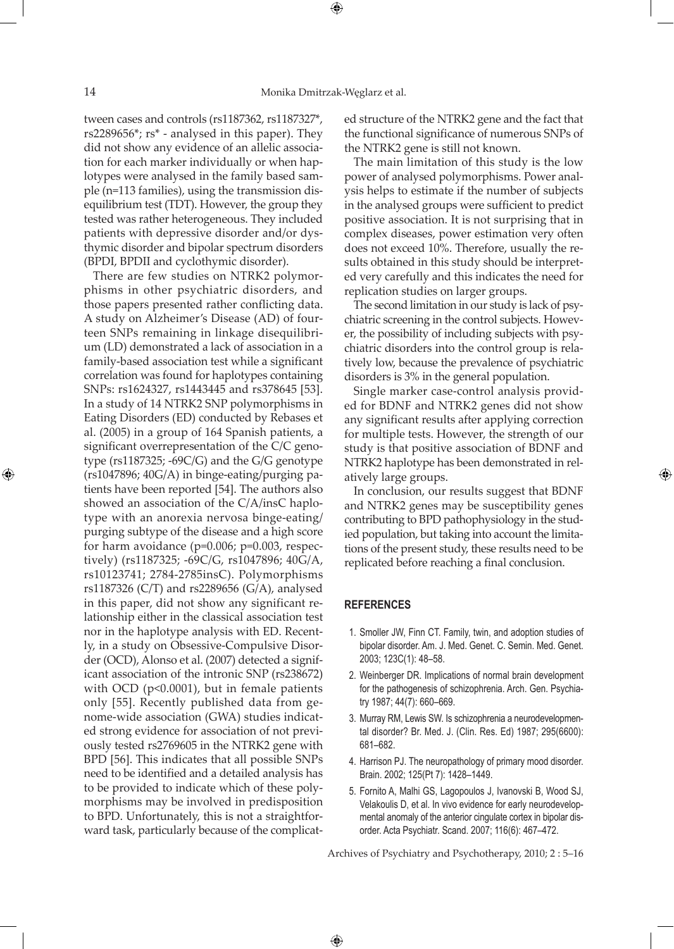⊕

tween cases and controls (rs1187362, rs1187327\*, rs2289656\*; rs\* - analysed in this paper). They did not show any evidence of an allelic association for each marker individually or when haplotypes were analysed in the family based sample (n=113 families), using the transmission disequilibrium test (TDT). However, the group they tested was rather heterogeneous. They included patients with depressive disorder and/or dysthymic disorder and bipolar spectrum disorders (BPDI, BPDII and cyclothymic disorder).

There are few studies on NTRK2 polymorphisms in other psychiatric disorders, and those papers presented rather conflicting data. A study on Alzheimer's Disease (AD) of fourteen SNPs remaining in linkage disequilibrium (LD) demonstrated a lack of association in a family-based association test while a significant correlation was found for haplotypes containing SNPs: rs1624327, rs1443445 and rs378645 [53]. In a study of 14 NTRK2 SNP polymorphisms in Eating Disorders (ED) conducted by Rebases et al. (2005) in a group of 164 Spanish patients, a significant overrepresentation of the C/C genotype (rs1187325; -69C/G) and the G/G genotype (rs1047896; 40G/A) in binge-eating/purging patients have been reported [54]. The authors also showed an association of the C/A/insC haplotype with an anorexia nervosa binge-eating/ purging subtype of the disease and a high score for harm avoidance ( $p=0.006$ ;  $p=0.003$ , respectively) (rs1187325; -69C/G, rs1047896; 40G/A, rs10123741; 2784-2785insC). Polymorphisms rs1187326 (C/T) and rs2289656 (G/A), analysed in this paper, did not show any significant relationship either in the classical association test nor in the haplotype analysis with ED. Recently, in a study on Obsessive-Compulsive Disorder (OCD), Alonso et al. (2007) detected a significant association of the intronic SNP (rs238672) with OCD (p<0.0001), but in female patients only [55]. Recently published data from genome-wide association (GWA) studies indicated strong evidence for association of not previously tested rs2769605 in the NTRK2 gene with BPD [56]. This indicates that all possible SNPs need to be identified and a detailed analysis has to be provided to indicate which of these polymorphisms may be involved in predisposition to BPD. Unfortunately, this is not a straightforward task, particularly because of the complicated structure of the NTRK2 gene and the fact that the functional significance of numerous SNPs of the NTRK2 gene is still not known.

The main limitation of this study is the low power of analysed polymorphisms. Power analysis helps to estimate if the number of subjects in the analysed groups were sufficient to predict positive association. It is not surprising that in complex diseases, power estimation very often does not exceed 10%. Therefore, usually the results obtained in this study should be interpreted very carefully and this indicates the need for replication studies on larger groups.

The second limitation in our study is lack of psychiatric screening in the control subjects. However, the possibility of including subjects with psychiatric disorders into the control group is relatively low, because the prevalence of psychiatric disorders is 3% in the general population.

Single marker case-control analysis provided for BDNF and NTRK2 genes did not show any significant results after applying correction for multiple tests. However, the strength of our study is that positive association of BDNF and NTRK2 haplotype has been demonstrated in relatively large groups.

⊕

In conclusion, our results suggest that BDNF and NTRK2 genes may be susceptibility genes contributing to BPD pathophysiology in the studied population, but taking into account the limitations of the present study, these results need to be replicated before reaching a final conclusion.

#### **REFERENCES**

 $\bigoplus$ 

- 1. Smoller JW, Finn CT. Family, twin, and adoption studies of bipolar disorder. Am. J. Med. Genet. C. Semin. Med. Genet. 2003; 123C(1): 48–58.
- 2. Weinberger DR. Implications of normal brain development for the pathogenesis of schizophrenia. Arch. Gen. Psychiatry 1987; 44(7): 660–669.
- 3. Murray RM, Lewis SW. Is schizophrenia a neurodevelopmental disorder? Br. Med. J. (Clin. Res. Ed) 1987; 295(6600): 681–682.
- 4. Harrison PJ. The neuropathology of primary mood disorder. Brain. 2002; 125(Pt 7): 1428–1449.
- 5. Fornito A, Malhi GS, Lagopoulos J, Ivanovski B, Wood SJ, Velakoulis D, et al. In vivo evidence for early neurodevelopmental anomaly of the anterior cingulate cortex in bipolar disorder. Acta Psychiatr. Scand. 2007; 116(6): 467–472.

Archives of Psychiatry and Psychotherapy, 2010; 2 : 5–16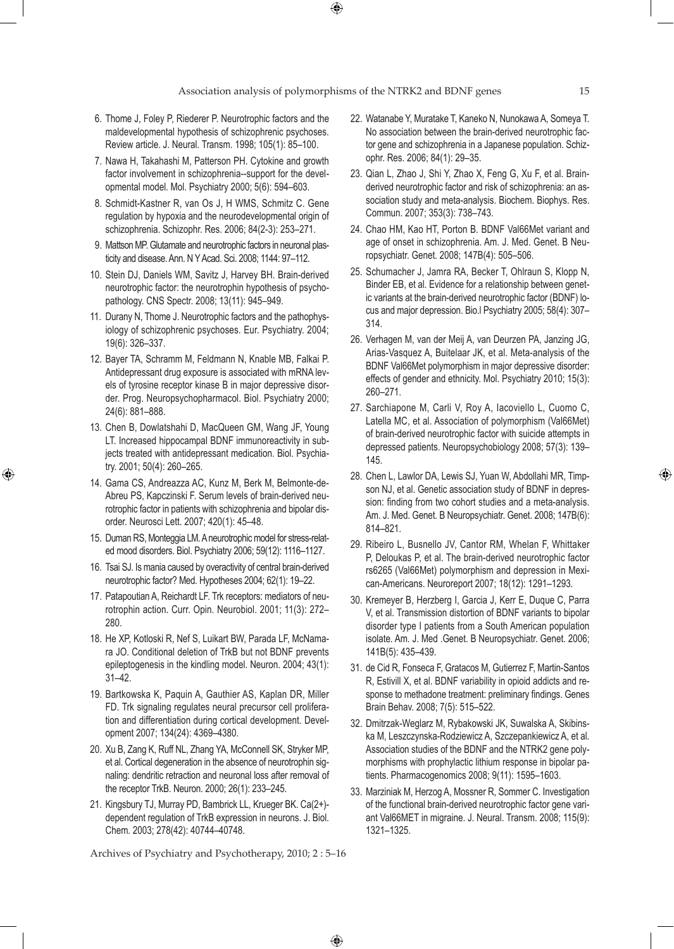- 6. Thome J, Foley P, Riederer P. Neurotrophic factors and the maldevelopmental hypothesis of schizophrenic psychoses. Review article. J. Neural. Transm. 1998; 105(1): 85–100.
- 7. Nawa H, Takahashi M, Patterson PH. Cytokine and growth factor involvement in schizophrenia--support for the developmental model. Mol. Psychiatry 2000; 5(6): 594–603.
- 8. Schmidt-Kastner R, van Os J, H WMS, Schmitz C. Gene regulation by hypoxia and the neurodevelopmental origin of schizophrenia. Schizophr. Res. 2006; 84(2-3): 253–271.
- 9. Mattson MP. Glutamate and neurotrophic factors in neuronal plasticity and disease. Ann. N Y Acad. Sci. 2008; 1144: 97–112.
- 10. Stein DJ, Daniels WM, Savitz J, Harvey BH. Brain-derived neurotrophic factor: the neurotrophin hypothesis of psychopathology. CNS Spectr. 2008; 13(11): 945–949.
- 11. Durany N, Thome J. Neurotrophic factors and the pathophysiology of schizophrenic psychoses. Eur. Psychiatry. 2004; 19(6): 326–337.
- 12. Bayer TA, Schramm M, Feldmann N, Knable MB, Falkai P. Antidepressant drug exposure is associated with mRNA levels of tyrosine receptor kinase B in major depressive disorder. Prog. Neuropsychopharmacol. Biol. Psychiatry 2000; 24(6): 881–888.
- 13. Chen B, Dowlatshahi D, MacQueen GM, Wang JF, Young LT. Increased hippocampal BDNF immunoreactivity in subjects treated with antidepressant medication. Biol. Psychiatry. 2001; 50(4): 260–265.

⊕

- 14. Gama CS, Andreazza AC, Kunz M, Berk M, Belmonte-de-Abreu PS, Kapczinski F. Serum levels of brain-derived neurotrophic factor in patients with schizophrenia and bipolar disorder. Neurosci Lett. 2007; 420(1): 45–48.
- 15. Duman RS, Monteggia LM. A neurotrophic model for stress-related mood disorders. Biol. Psychiatry 2006; 59(12): 1116–1127.
- 16. Tsai SJ. Is mania caused by overactivity of central brain-derived neurotrophic factor? Med. Hypotheses 2004; 62(1): 19–22.
- 17. Patapoutian A, Reichardt LF. Trk receptors: mediators of neurotrophin action. Curr. Opin. Neurobiol. 2001; 11(3): 272– 280.
- 18. He XP, Kotloski R, Nef S, Luikart BW, Parada LF, McNamara JO. Conditional deletion of TrkB but not BDNF prevents epileptogenesis in the kindling model. Neuron. 2004; 43(1): 31–42.
- 19. Bartkowska K, Paquin A, Gauthier AS, Kaplan DR, Miller FD. Trk signaling regulates neural precursor cell proliferation and differentiation during cortical development. Development 2007; 134(24): 4369–4380.
- 20. Xu B, Zang K, Ruff NL, Zhang YA, McConnell SK, Stryker MP, et al. Cortical degeneration in the absence of neurotrophin signaling: dendritic retraction and neuronal loss after removal of the receptor TrkB. Neuron. 2000; 26(1): 233–245.
- 21. Kingsbury TJ, Murray PD, Bambrick LL, Krueger BK. Ca(2+) dependent regulation of TrkB expression in neurons. J. Biol. Chem. 2003; 278(42): 40744–40748.

Archives of Psychiatry and Psychotherapy, 2010; 2 : 5–16

 $\bigoplus$ 

- 22. Watanabe Y, Muratake T, Kaneko N, Nunokawa A, Someya T. No association between the brain-derived neurotrophic factor gene and schizophrenia in a Japanese population. Schizophr. Res. 2006; 84(1): 29–35.
- 23. Qian L, Zhao J, Shi Y, Zhao X, Feng G, Xu F, et al. Brainderived neurotrophic factor and risk of schizophrenia: an association study and meta-analysis. Biochem. Biophys. Res. Commun. 2007; 353(3): 738–743.
- 24. Chao HM, Kao HT, Porton B. BDNF Val66Met variant and age of onset in schizophrenia. Am. J. Med. Genet. B Neuropsychiatr. Genet. 2008; 147B(4): 505–506.
- 25. Schumacher J, Jamra RA, Becker T, Ohlraun S, Klopp N, Binder EB, et al. Evidence for a relationship between genetic variants at the brain-derived neurotrophic factor (BDNF) locus and major depression. Bio.l Psychiatry 2005; 58(4): 307– 314.
- 26. Verhagen M, van der Meij A, van Deurzen PA, Janzing JG, Arias-Vasquez A, Buitelaar JK, et al. Meta-analysis of the BDNF Val66Met polymorphism in major depressive disorder: effects of gender and ethnicity. Mol. Psychiatry 2010; 15(3): 260–271.
- 27. Sarchiapone M, Carli V, Roy A, Iacoviello L, Cuomo C, Latella MC, et al. Association of polymorphism (Val66Met) of brain-derived neurotrophic factor with suicide attempts in depressed patients. Neuropsychobiology 2008; 57(3): 139– 145.
- 28. Chen L, Lawlor DA, Lewis SJ, Yuan W, Abdollahi MR, Timpson NJ, et al. Genetic association study of BDNF in depression: finding from two cohort studies and a meta-analysis. Am. J. Med. Genet. B Neuropsychiatr. Genet. 2008; 147B(6): 814–821.
- 29. Ribeiro L, Busnello JV, Cantor RM, Whelan F, Whittaker P, Deloukas P, et al. The brain-derived neurotrophic factor rs6265 (Val66Met) polymorphism and depression in Mexican-Americans. Neuroreport 2007; 18(12): 1291–1293.
- 30. Kremeyer B, Herzberg I, Garcia J, Kerr E, Duque C, Parra V, et al. Transmission distortion of BDNF variants to bipolar disorder type I patients from a South American population isolate. Am. J. Med .Genet. B Neuropsychiatr. Genet. 2006; 141B(5): 435–439.
- 31. de Cid R, Fonseca F, Gratacos M, Gutierrez F, Martin-Santos R, Estivill X, et al. BDNF variability in opioid addicts and response to methadone treatment: preliminary findings. Genes Brain Behav. 2008; 7(5): 515–522.
- 32. Dmitrzak-Weglarz M, Rybakowski JK, Suwalska A, Skibinska M, Leszczynska-Rodziewicz A, Szczepankiewicz A, et al. Association studies of the BDNF and the NTRK2 gene polymorphisms with prophylactic lithium response in bipolar patients. Pharmacogenomics 2008; 9(11): 1595–1603.
- 33. Marziniak M, Herzog A, Mossner R, Sommer C. Investigation of the functional brain-derived neurotrophic factor gene variant Val66MET in migraine. J. Neural. Transm. 2008; 115(9): 1321–1325.